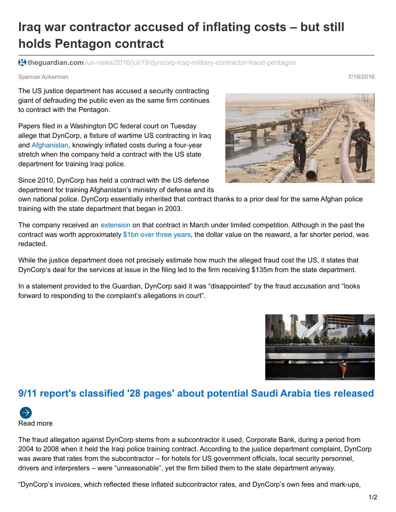## **Iraq war contractor accused of inflating costs – but still holds Pentagon contract**

**theguardian.com** [/us-news/2016/jul/19/dyncorp-iraq-military-contractor-fraud-pentagon](https://www.theguardian.com/us-news/2016/jul/19/dyncorp-iraq-military-contractor-fraud-pentagon)

Spencer Ackerman 7/19/2016

The US justice department has accused a security contracting giant of defrauding the public even as the same firm continues to contract with the Pentagon.

Papers filed in a Washington DC federal court on Tuesday allege that DynCorp, a fixture of wartime US contracting in Iraq and [Afghanistan](https://www.theguardian.com/world/afghanistan), knowingly inflated costs during a four-year stretch when the company held a contract with the US state department for training Iraqi police.

Since 2010, DynCorp has held a contract with the US defense department for training Afghanistan's ministry of defense and its

own national police. DynCorp essentially inherited that contract thanks to a prior deal for the same Afghan police training with the state department that began in 2003.

The company received an [extension](https://www.fbo.gov/index?s=opportunity&mode=form&id=27ba68bfc8403e76b24effbf30ed396e&tab=core&_cview=1) on that contract in March under limited competition. Although in the past the contract was worth approximately \$1bn over [three](https://www.wired.com/2010/12/controversial-firm-snags-another-billion-dollar-afghan-police-deal/) years, the dollar value on the reaward, a far shorter period, was redacted.

While the justice department does not precisely estimate how much the alleged fraud cost the US, it states that DynCorp's deal for the services at issue in the filing led to the firm receiving \$135m from the state department.

In a statement provided to the Guardian, DynCorp said it was "disappointed" by the fraud accusation and "looks forward to responding to the complaint's allegations in court".

## **9/11 report's classified '28 pages' about potential Saudi Arabia ties released**



The fraud allegation against DynCorp stems from a subcontractor it used, Corporate Bank, during a period from 2004 to 2008 when it held the Iraqi police training contract. According to the justice department complaint, DynCorp was aware that rates from the subcontractor – for hotels for US government officials, local security personnel, drivers and interpreters – were "unreasonable", yet the firm billed them to the state department anyway.

"DynCorp's invoices, which reflected these inflated subcontractor rates, and DynCorp's own fees and mark-ups,